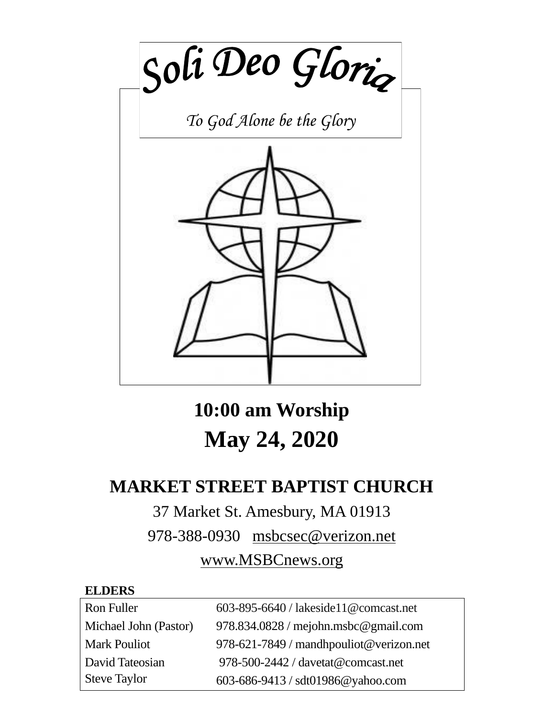

**10:00 am Worship May 24, 2020**

# **MARKET STREET BAPTIST CHURCH**

# 37 Market St. Amesbury, MA 01913

978-388-0930 [msbcsec@verizon.net](mailto:msgbcsec@verizon.net)

# [www.MSBCnews.org](http://www.msbcnews.org/)

# **ELDERS**

| Ron Fuller            | 603-895-6640 / lakeside11@comcast.net   |
|-----------------------|-----------------------------------------|
| Michael John (Pastor) | $978.834.0828$ / mejohn.msbc@gmail.com  |
| <b>Mark Pouliot</b>   | 978-621-7849 / mandhpouliot@verizon.net |
| David Tateosian       | 978-500-2442 / davetat@comcast.net      |
| Steve Taylor          | 603-686-9413 / sdt01986@yahoo.com       |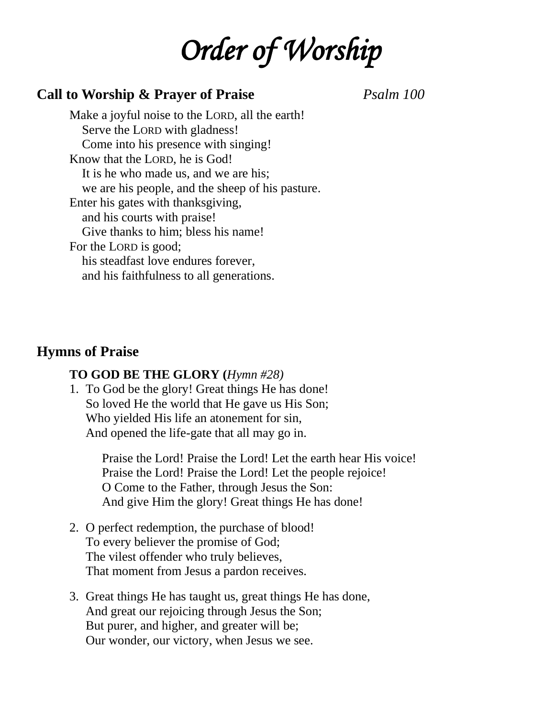# *Order of Worship*

### **Call to Worship & Prayer of Praise** *Psalm 100*

Make a joyful noise to the LORD, all the earth! Serve the LORD with gladness! Come into his presence with singing! Know that the LORD, he is God! It is he who made us, and we are his; we are his people, and the sheep of his pasture. Enter his gates with thanksgiving, and his courts with praise! Give thanks to him; bless his name! For the LORD is good; his steadfast love endures forever, and his faithfulness to all generations.

### **Hymns of Praise**

#### **TO GOD BE THE GLORY (***Hymn #28)*

1. To God be the glory! Great things He has done! So loved He the world that He gave us His Son; Who yielded His life an atonement for sin, And opened the life-gate that all may go in.

> Praise the Lord! Praise the Lord! Let the earth hear His voice! Praise the Lord! Praise the Lord! Let the people rejoice! O Come to the Father, through Jesus the Son: And give Him the glory! Great things He has done!

- 2. O perfect redemption, the purchase of blood! To every believer the promise of God; The vilest offender who truly believes, That moment from Jesus a pardon receives.
- 3. Great things He has taught us, great things He has done, And great our rejoicing through Jesus the Son; But purer, and higher, and greater will be; Our wonder, our victory, when Jesus we see.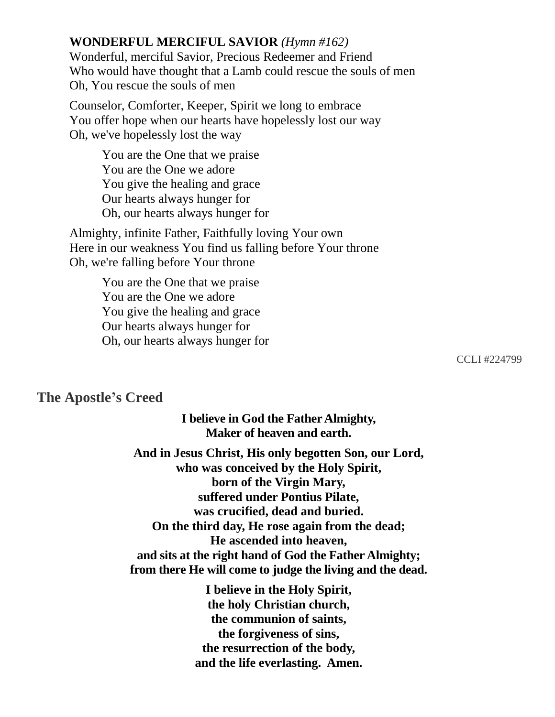#### **WONDERFUL MERCIFUL SAVIOR** *(Hymn #162)*

Wonderful, merciful Savior, Precious Redeemer and Friend Who would have thought that a Lamb could rescue the souls of men Oh, You rescue the souls of men

Counselor, Comforter, Keeper, Spirit we long to embrace You offer hope when our hearts have hopelessly lost our way Oh, we've hopelessly lost the way

> You are the One that we praise You are the One we adore You give the healing and grace Our hearts always hunger for Oh, our hearts always hunger for

Almighty, infinite Father, Faithfully loving Your own Here in our weakness You find us falling before Your throne Oh, we're falling before Your throne

> You are the One that we praise You are the One we adore You give the healing and grace Our hearts always hunger for Oh, our hearts always hunger for

> > CCLI #224799

#### **The Apostle's Creed**

**I believe in God the Father Almighty, Maker of heaven and earth. And in Jesus Christ, His only begotten Son, our Lord, who was conceived by the Holy Spirit, born of the Virgin Mary, suffered under Pontius Pilate, was crucified, dead and buried. On the third day, He rose again from the dead; He ascended into heaven, and sits at the right hand of God the Father Almighty; from there He will come to judge the living and the dead.**

**I believe in the Holy Spirit, the holy Christian church, the communion of saints, the forgiveness of sins, the resurrection of the body, and the life everlasting. Amen.**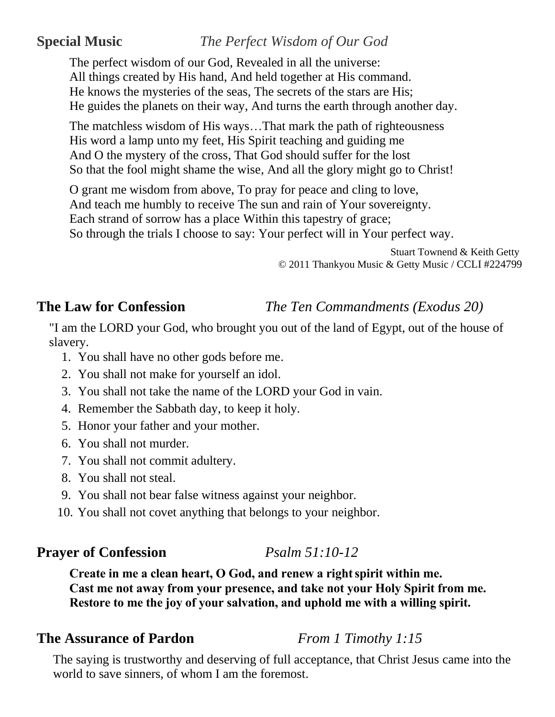**Special Music** *The Perfect Wisdom of Our God* 

The perfect wisdom of our God, Revealed in all the universe: All things created by His hand, And held together at His command. He knows the mysteries of the seas, The secrets of the stars are His; He guides the planets on their way, And turns the earth through another day.

The matchless wisdom of His ways…That mark the path of righteousness His word a lamp unto my feet, His Spirit teaching and guiding me And O the mystery of the cross, That God should suffer for the lost So that the fool might shame the wise, And all the glory might go to Christ!

O grant me wisdom from above, To pray for peace and cling to love, And teach me humbly to receive The sun and rain of Your sovereignty. Each strand of sorrow has a place Within this tapestry of grace; So through the trials I choose to say: Your perfect will in Your perfect way.

> Stuart Townend & Keith Getty © 2011 Thankyou Music & Getty Music / CCLI #224799

# **The Law for Confession** *The Ten Commandments (Exodus 20)*

"I am the LORD your God, who brought you out of the land of Egypt, out of the house of slavery.

- 1. You shall have no other gods before me.
- 2. You shall not make for yourself an idol.
- 3. You shall not take the name of the LORD your God in vain.
- 4. Remember the Sabbath day, to keep it holy.
- 5. Honor your father and your mother.
- 6. You shall not murder.
- 7. You shall not commit adultery.
- 8. You shall not steal.
- 9. You shall not bear false witness against your neighbor.
- 10. You shall not covet anything that belongs to your neighbor.

### **Prayer of Confession** *Psalm 51:10-12*

**Create in me a clean heart, O God, and renew a rightspirit within me. Cast me not away from your presence, and take not your Holy Spirit from me. Restore to me the joy of your salvation, and uphold me with a willing spirit.**

# **The Assurance of Pardon** *From 1 Timothy 1:15*

The saying is trustworthy and deserving of full acceptance, that Christ Jesus came into the world to save sinners, of whom I am the foremost.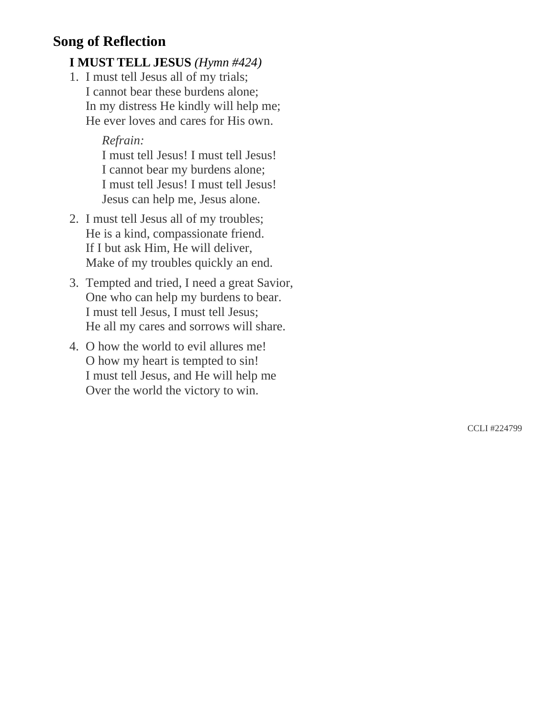# **Song of Reflection**

### **I MUST TELL JESUS** *(Hymn #424)*

1. I must tell Jesus all of my trials; I cannot bear these burdens alone; In my distress He kindly will help me; He ever loves and cares for His own.

#### *Refrain :*

I must tell Jesus! I must tell Jesus! I cannot bear my burdens alone; I must tell Jesus! I must tell Jesus ! Jesus can help me, Jesus alone.

- 2. I must tell Jesus all of my troubles; He is a kind, compassionate friend. If I but ask Him, He will deliver, Make of my troubles quickly an end.
- 3. Tempted and tried, I need a great Savior, One who can help my burdens to bear. I must tell Jesus, I must tell Jesus ; He all my cares and sorrows will share.
- 4. O how the world to evil allures me! O how my heart is tempted to sin! I must tell Jesus, and He will help me Over the world the victory to win.

CCLI #224799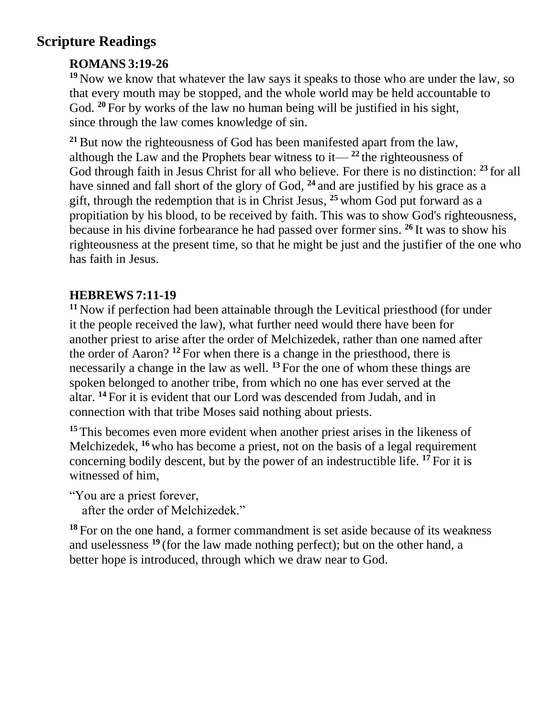# **Scripture Readings**

# **ROMANS 3:19-26**

**<sup>19</sup>** Now we know that whatever the law says it speaks to those who are under the law, so that every mouth may be stopped, and the whole world may be held accountable to God. <sup>20</sup> For by works of the law no human being will be justified in his sight, since through the law comes knowledge of sin.

**<sup>21</sup>**But now the righteousness of God has been manifested apart from the law, although the Law and the Prophets bear witness to  $i = \frac{22}{3}$  the righteousness of God through faith in Jesus Christ for all who believe. For there is no distinction: **<sup>23</sup>** for all have sinned and fall short of the glory of God, **<sup>24</sup>** and are justified by his grace as a gift, through the redemption that is in Christ Jesus, **<sup>25</sup>** whom God put forward as a propitiation by his blood, to be received by faith. This was to show God's righteousness, because in his divine forbearance he had passed over former sins. **<sup>26</sup>** It was to show his righteousness at the present time, so that he might be just and the justifier of the one who has faith in Jesus.

# **HEBREWS 7:11-19**

**<sup>11</sup>** Now if perfection had been attainable through the Levitical priesthood (for under it the people received the law), what further need would there have been for another priest to arise after the order of Melchizedek, rather than one named after the order of Aaron? **<sup>12</sup>** For when there is a change in the priesthood, there is necessarily a change in the law as well. **<sup>13</sup>** For the one of whom these things are spoken belonged to another tribe, from which no one has ever served at the altar. **<sup>14</sup>** For it is evident that our Lord was descended from Judah, and in connection with that tribe Moses said nothing about priests.

**<sup>15</sup>** This becomes even more evident when another priest arises in the likeness of Melchizedek, <sup>16</sup> who has become a priest, not on the basis of a legal requirement concerning bodily descent, but by the power of an indestructible life. **<sup>17</sup>** For it is witnessed of him,

"You are a priest forever,

after the order of Melchizedek."

**<sup>18</sup>** For on the one hand, a former commandment is set aside because of its weakness and uselessness **<sup>19</sup>** (for the law made nothing perfect); but on the other hand, a better hope is introduced, through which we draw near to God.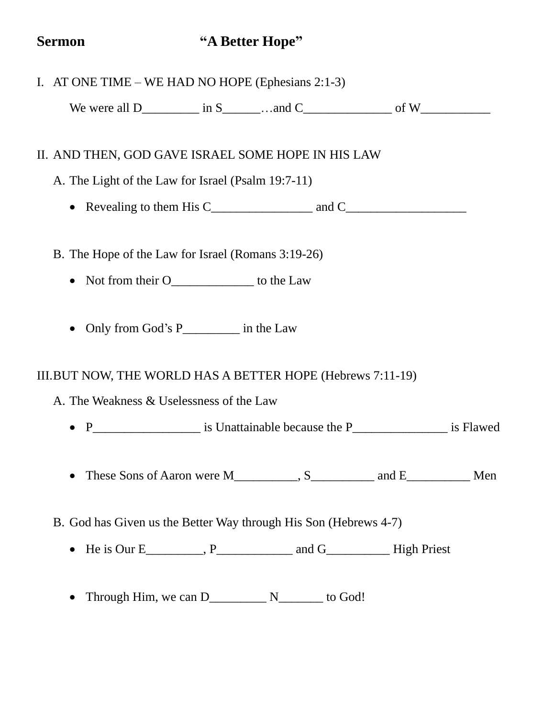# **Sermon** "A Better Hope"

I. AT ONE TIME – WE HAD NO HOPE (Ephesians 2:1-3)

We were all  $D$  in  $S$  and  $C$  and  $C$  and  $W$ 

#### II. AND THEN, GOD GAVE ISRAEL SOME HOPE IN HIS LAW

A. The Light of the Law for Israel (Psalm 19:7-11)

• Revealing to them His C\_\_\_\_\_\_\_\_\_\_\_\_\_\_\_\_ and C\_\_\_\_\_\_\_\_\_\_\_\_\_\_\_\_\_\_\_

B. The Hope of the Law for Israel (Romans 3:19-26)

- Not from their O\_\_\_\_\_\_\_\_\_\_\_\_\_\_\_\_ to the Law
- Only from God's P\_\_\_\_\_\_\_\_\_\_ in the Law

#### III.BUT NOW, THE WORLD HAS A BETTER HOPE (Hebrews 7:11-19)

A. The Weakness & Uselessness of the Law

- P\_\_\_\_\_\_\_\_\_\_\_\_\_\_\_\_\_ is Unattainable because the P\_\_\_\_\_\_\_\_\_\_\_\_\_\_\_ is Flawed
- These Sons of Aaron were M<sub>n</sub>, S<sub>n</sub> and E<sub>Men</sub> Men
- B. God has Given us the Better Way through His Son (Hebrews 4-7)
	- He is Our E\_\_\_\_\_\_\_\_\_, P\_\_\_\_\_\_\_\_\_\_\_\_ and G\_\_\_\_\_\_\_\_\_\_ High Priest
	- Through Him, we can D\_\_\_\_\_\_\_\_\_\_ N\_\_\_\_\_\_\_ to God!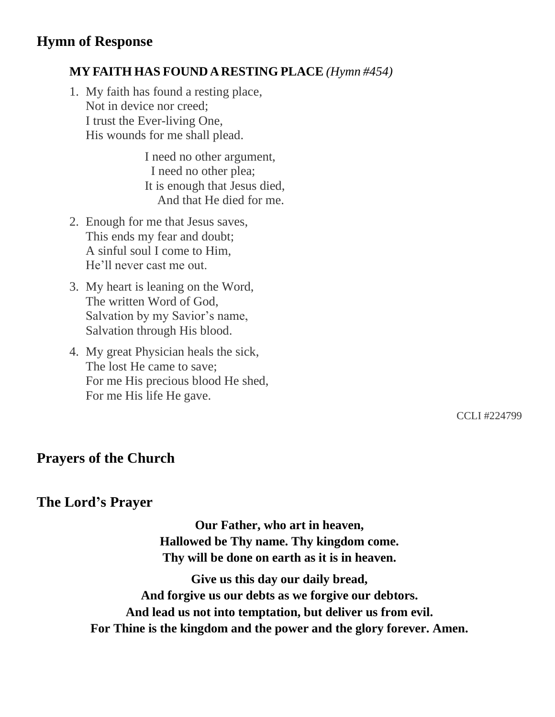# **Hymn of Response**

### **MY FAITH HAS FOUND ARESTING PLACE** *(Hymn #454)*

1. My faith has found a resting place, Not in device nor creed; I trust the Ever-living One, His wounds for me shall plead.

> I need no other argument, I need no other plea; It is enough that Jesus died, And that He died for me.

- 2. Enough for me that Jesus saves, This ends my fear and doubt; A sinful soul I come to Him, He'll never cast me out.
- 3. My heart is leaning on the Word, The written Word of God, Salvation by my Savior's name, Salvation through His blood.
- 4. My great Physician heals the sick, The lost He came to save; For me His precious blood He shed, For me His life He gave.

CCLI #224799

# **Prayers of the Church**

# **The Lord's Prayer**

**Our Father, who art in heaven, Hallowed be Thy name. Thy kingdom come. Thy will be done on earth as it is in heaven.**

**Give us this day our daily bread, And forgive us our debts as we forgive our debtors. And lead us not into temptation, but deliver us from evil. For Thine is the kingdom and the power and the glory forever. Amen.**